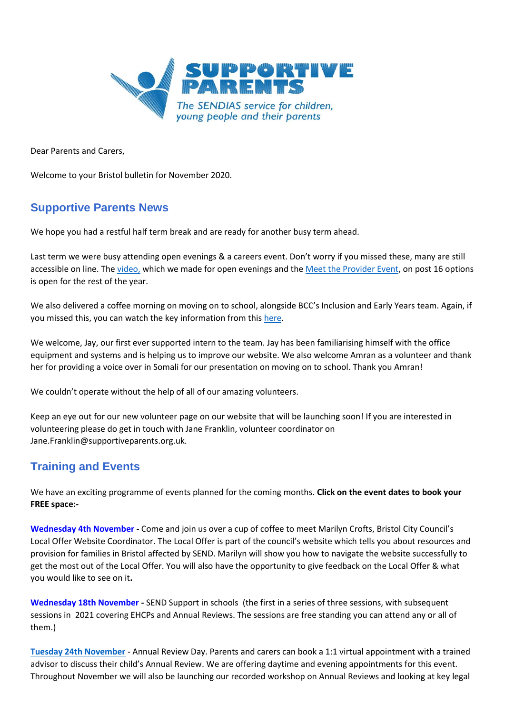

Dear Parents and Carers,

Welcome to your Bristol bulletin for November 2020.

# **Supportive Parents News**

We hope you had a restful half term break and are ready for another busy term ahead.

Last term we were busy attending open evenings & a careers event. Don't worry if you missed these, many are still accessible on line. The [video,](https://www.supportiveparents.org.uk/resources/videos/) which we made for open evenings and the [Meet the Provider Event,](https://www.liketobe.org/careersInfoProviders/meettheprovider/timeline) on post 16 options is open for the rest of the year.

We also delivered a coffee morning on moving on to school, alongside BCC's Inclusion and Early Years team. Again, if you missed this, you can watch the key information from this [here.](https://www.supportiveparents.org.uk/resources/workshop-recordings/)

We welcome, Jay, our first ever supported intern to the team. Jay has been familiarising himself with the office equipment and systems and is helping us to improve our website. We also welcome Amran as a volunteer and thank her for providing a voice over in Somali for our presentation on moving on to school. Thank you Amran!

We couldn't operate without the help of all of our amazing volunteers.

Keep an eye out for our new volunteer page on our website that will be launching soon! If you are interested in volunteering please do get in touch with Jane Franklin, volunteer coordinator on Jane.Franklin@supportiveparents.org.uk.

# **Training and Events**

We have an exciting programme of events planned for the coming months. **Click on the event dates to book your FREE space:-**

**[Wednesday 4th November](https://bristollocaloffercoffeemorning.eventbrite.co.uk/) -** Come and join us over a cup of coffee to meet Marilyn Crofts, Bristol City Council's Local Offer Website Coordinator. The Local Offer is part of the council's website which tells you about resources and provision for families in Bristol affected by SEND. Marilyn will show you how to navigate the website successfully to get the most out of the Local Offer. You will also have the opportunity to give feedback on the Local Offer & what you would like to see on it**.**

**We[dnesday 18th November](https://sendsupportinschools.eventbrite.co.uk/) -** SEND Support in schools  (the first in a series of three sessions, with subsequent sessions in  2021 covering EHCPs and Annual Reviews. The sessions are free standing you can attend any or all of them.) 

**[Tuesday 24th November](https://annualreviewsurgery.eventbrite.co.uk/)** - Annual Review Day. Parents and carers can book a 1:1 virtual appointment with a trained advisor to discuss their child's Annual Review. We are offering daytime and evening appointments for this event. Throughout November we will also be launching our recorded workshop on Annual Reviews and looking at key legal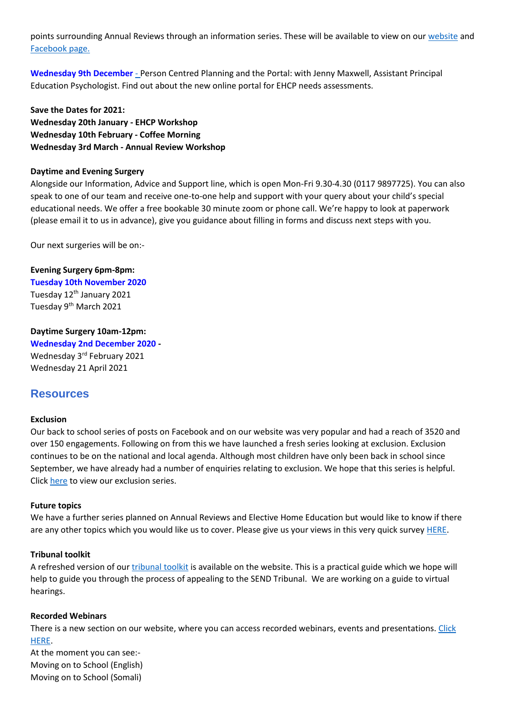points surrounding Annual Reviews through an information series. These will be available to view on our [website](https://www.supportiveparents.org.uk/resources/information-series/) and [Facebook page.](https://www.facebook.com/SupportiveparentsPPS)

**[Wednesday 9th December](https://ehcna.eventbrite.co.uk/)** - Person Centred Planning and the Portal: with Jenny Maxwell, Assistant Principal Education Psychologist. Find out about the new online portal for EHCP needs assessments.

**Save the Dates for 2021: Wednesday 20th January - EHCP Workshop Wednesday 10th February - Coffee Morning Wednesday 3rd March - Annual Review Workshop** 

#### **Daytime and Evening Surgery**

Alongside our Information, Advice and Support line, which is open Mon-Fri 9.30-4.30 (0117 9897725). You can also speak to one of our team and receive one-to-one help and support with your query about your child's special educational needs. We offer a free bookable 30 minute zoom or phone call. We're happy to look at paperwork (please email it to us in advance), give you guidance about filling in forms and discuss next steps with you.

Our next surgeries will be on:-

**Evening Surgery 6pm-8pm: [Tuesday 10th November 2020](https://bristolsendsurgerynov10th.eventbrite.co.uk/)** Tuesday 12<sup>th</sup> January 2021 Tuesday 9<sup>th</sup> March 2021

#### **Daytime Surgery 10am-12pm:**

**[Wednesday 2nd December 2020](https://sendsurgery2.eventbrite.co.uk/) -** Wednesday 3rd February 2021 Wednesday 21 April 2021

## **Resources**

#### **Exclusion**

Our back to school series of posts on Facebook and on our website was very popular and had a reach of 3520 and over 150 engagements. Following on from this we have launched a fresh series looking at exclusion. Exclusion continues to be on the national and local agenda. Although most children have only been back in school since September, we have already had a number of enquiries relating to exclusion. We hope that this series is helpful. Click [here](https://www.supportiveparents.org.uk/resources/information-series/) to view our exclusion series.

#### **Future topics**

We have a further series planned on Annual Reviews and Elective Home Education but would like to know if there are any other topics which you would like us to cover. Please give us your views in this very quick survey [HERE.](https://www.surveymonkey.co.uk/r/SPtopic)

#### **Tribunal toolkit**

A refreshed version of ou[r tribunal toolkit](https://www.supportiveparents.org.uk/wp-content/uploads/2020/10/tribunals-content-and-placement-appeal.pdf) is available on the website. This is a practical guide which we hope will help to guide you through the process of appealing to the SEND Tribunal. We are working on a guide to virtual hearings.

#### **Recorded Webinars**

There is a new section on our website, where you can access recorded webinars, events and presentations. [Click](https://www.supportiveparents.org.uk/resources/workshop-recordings/)  [HERE.](https://www.supportiveparents.org.uk/resources/workshop-recordings/)

At the moment you can see:- Moving on to School (English) Moving on to School (Somali)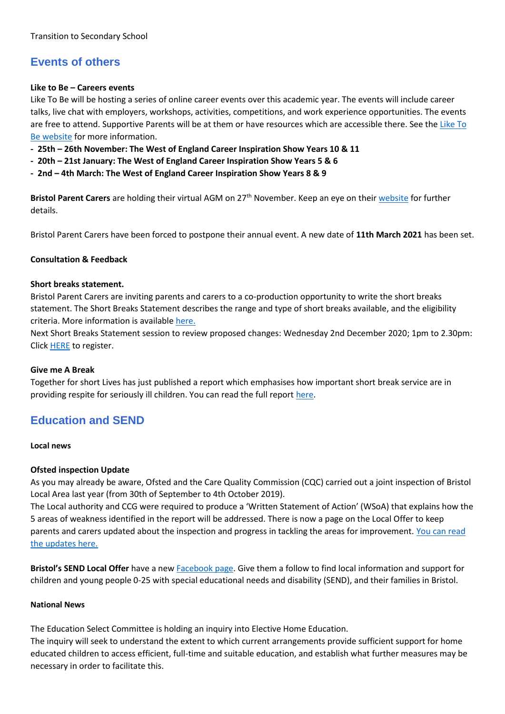# **Events of others**

## **Like to Be – Careers events**

Like To Be will be hosting a series of online career events over this academic year. The events will include career talks, live chat with employers, workshops, activities, competitions, and work experience opportunities. The events are free to attend. Supportive Parents will be at them or have resources which are accessible there. See th[e Like To](https://www.liketobe.org/)  [Be website](https://www.liketobe.org/) for more information.

- **- 25th – 26th November: The West of England Career Inspiration Show Years 10 & 11**
- **- 20th – 21st January: The West of England Career Inspiration Show Years 5 & 6**
- **- 2nd – 4th March: The West of England Career Inspiration Show Years 8 & 9**

**Bristol Parent Carers** are holding their virtual AGM on 27th November. Keep an eye on thei[r website](https://www.bristolparentcarers.org.uk/) for further details.

Bristol Parent Carers have been forced to postpone their annual event. A new date of **11th March 2021** has been set.

## **Consultation & Feedback**

## **Short breaks statement.**

Bristol Parent Carers are inviting parents and carers to a co-production opportunity to write the short breaks statement. The Short Breaks Statement describes the range and type of short breaks available, and the eligibility criteria. More information is available [here.](https://www.bristolparentcarers.org.uk/tag/shortbreaks/)

Next Short Breaks Statement session to review proposed changes: Wednesday 2nd December 2020; 1pm to 2.30pm: Click [HERE](https://register.gotowebinar.com/register/5516974824869664523) to register.

## **Give me A Break**

Together for short Lives has just published a report which emphasises how important short break service are in providing respite for seriously ill children. You can read the full report [here.](https://www.togetherforshortlives.org.uk/wp-content/uploads/2020/10/Together-for-Short-Lives-and-Julias-House-Give-Me-a-Break-report.pdf)

## **Education and SEND**

**Local news**

## **Ofsted inspection Update**

As you may already be aware, Ofsted and the Care Quality Commission (CQC) carried out a joint inspection of Bristol Local Area last year (from 30th of September to 4th October 2019).

The Local authority and CCG were required to produce a 'Written Statement of Action' (WSoA) that explains how the 5 areas of weakness identified in the report will be addressed. There is now a page on the Local Offer to keep parents and carers updated about the inspection and progress in tackling the areas for improvement[. You can read](https://www.bristol.gov.uk/web/bristol-local-offer/ofsted-updates)  [the updates here.](https://www.bristol.gov.uk/web/bristol-local-offer/ofsted-updates)

**Bristol's SEND Local Offer** have a new [Facebook page.](https://www.facebook.com/bristollocaloffer/) Give them a follow to find local information and support for children and young people 0-25 with special educational needs and disability (SEND), and their families in Bristol.

## **National News**

The Education Select Committee is holding an inquiry into Elective Home Education.

The inquiry will seek to understand the extent to which current arrangements provide sufficient support for home educated children to access efficient, full-time and suitable education, and establish what further measures may be necessary in order to facilitate this.